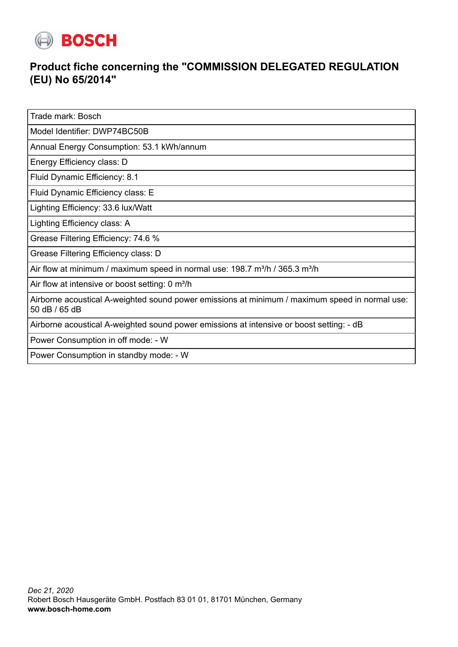

## **Product fiche concerning the "COMMISSION DELEGATED REGULATION (EU) No 65/2014"**

Trade mark: Bosch

Model Identifier: DWP74BC50B

Annual Energy Consumption: 53.1 kWh/annum

Energy Efficiency class: D

Fluid Dynamic Efficiency: 8.1

Fluid Dynamic Efficiency class: E

Lighting Efficiency: 33.6 lux/Watt

Lighting Efficiency class: A

Grease Filtering Efficiency: 74.6 %

Grease Filtering Efficiency class: D

Air flow at minimum / maximum speed in normal use:  $198.7 \text{ m}^3/\text{h}$  /  $365.3 \text{ m}^3/\text{h}$ 

Air flow at intensive or boost setting: 0 m<sup>3</sup>/h

Airborne acoustical A-weighted sound power emissions at minimum / maximum speed in normal use: 50 dB / 65 dB

Airborne acoustical A-weighted sound power emissions at intensive or boost setting: - dB

Power Consumption in off mode: - W

Power Consumption in standby mode: - W